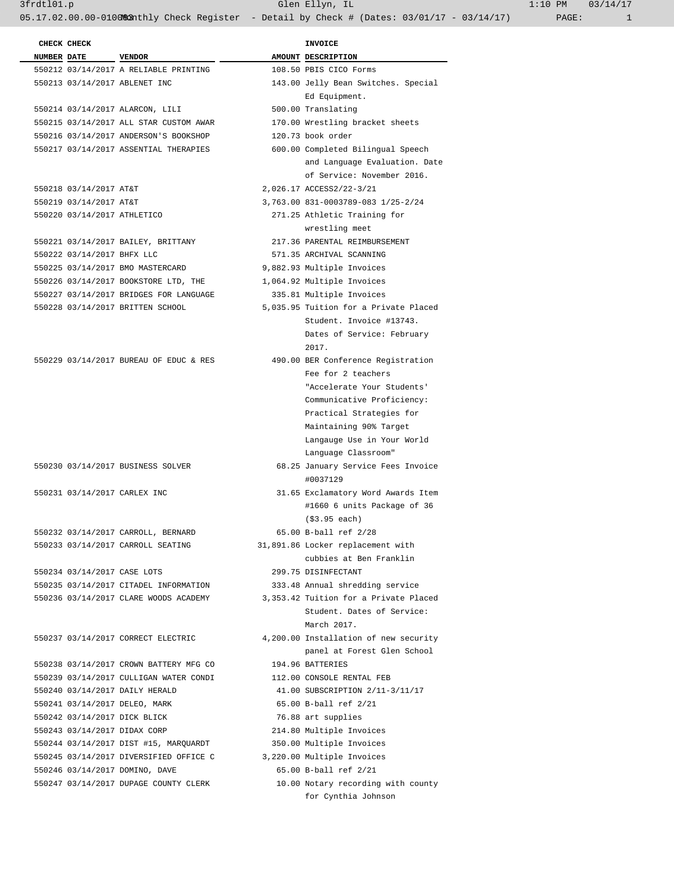3frdtl01.p Glen Ellyn, IL 1:10 PM 03/14/17 05.17.02.00.00-010083nthly Check Register - Detail by Check # (Dates: 03/01/17 - 03/14/17) PAGE: 1

| CHECK CHECK                  |                                        | <b>INVOICE</b>                                                                                                                                                                                                                  |
|------------------------------|----------------------------------------|---------------------------------------------------------------------------------------------------------------------------------------------------------------------------------------------------------------------------------|
| <b>NUMBER DATE</b>           | <b>VENDOR</b>                          | AMOUNT DESCRIPTION                                                                                                                                                                                                              |
|                              | 550212 03/14/2017 A RELIABLE PRINTING  | 108.50 PBIS CICO Forms                                                                                                                                                                                                          |
|                              | 550213 03/14/2017 ABLENET INC          | 143.00 Jelly Bean Switches. Special<br>Ed Equipment.                                                                                                                                                                            |
|                              | 550214 03/14/2017 ALARCON, LILI        | 500.00 Translating                                                                                                                                                                                                              |
|                              | 550215 03/14/2017 ALL STAR CUSTOM AWAR | 170.00 Wrestling bracket sheets                                                                                                                                                                                                 |
|                              | 550216 03/14/2017 ANDERSON'S BOOKSHOP  | 120.73 book order                                                                                                                                                                                                               |
|                              | 550217 03/14/2017 ASSENTIAL THERAPIES  | 600.00 Completed Bilingual Speech<br>and Language Evaluation. Date<br>of Service: November 2016.                                                                                                                                |
| 550218 03/14/2017 AT&T       |                                        | 2,026.17 ACCESS2/22-3/21                                                                                                                                                                                                        |
| 550219 03/14/2017 AT&T       |                                        | 3,763.00 831-0003789-083 1/25-2/24                                                                                                                                                                                              |
| 550220 03/14/2017 ATHLETICO  |                                        | 271.25 Athletic Training for                                                                                                                                                                                                    |
|                              |                                        | wrestling meet                                                                                                                                                                                                                  |
|                              | 550221 03/14/2017 BAILEY, BRITTANY     | 217.36 PARENTAL REIMBURSEMENT                                                                                                                                                                                                   |
| 550222 03/14/2017 BHFX LLC   |                                        | 571.35 ARCHIVAL SCANNING                                                                                                                                                                                                        |
|                              | 550225 03/14/2017 BMO MASTERCARD       | 9,882.93 Multiple Invoices                                                                                                                                                                                                      |
|                              | 550226 03/14/2017 BOOKSTORE LTD, THE   | 1,064.92 Multiple Invoices                                                                                                                                                                                                      |
|                              | 550227 03/14/2017 BRIDGES FOR LANGUAGE | 335.81 Multiple Invoices                                                                                                                                                                                                        |
|                              | 550228 03/14/2017 BRITTEN SCHOOL       | 5,035.95 Tuition for a Private Placed<br>Student. Invoice #13743.<br>Dates of Service: February<br>2017.                                                                                                                        |
|                              | 550229 03/14/2017 BUREAU OF EDUC & RES | 490.00 BER Conference Registration<br>Fee for 2 teachers<br>"Accelerate Your Students'<br>Communicative Proficiency:<br>Practical Strategies for<br>Maintaining 90% Target<br>Langauge Use in Your World<br>Language Classroom" |
|                              | 550230 03/14/2017 BUSINESS SOLVER      | 68.25 January Service Fees Invoice<br>#0037129                                                                                                                                                                                  |
| 550231 03/14/2017 CARLEX INC |                                        | 31.65 Exclamatory Word Awards Item<br>#1660 6 units Package of 36<br>( \$3.95 each)                                                                                                                                             |
|                              | 550232 03/14/2017 CARROLL, BERNARD     | 65.00 B-ball ref 2/28                                                                                                                                                                                                           |
|                              | 550233 03/14/2017 CARROLL SEATING      | 31,891.86 Locker replacement with<br>cubbies at Ben Franklin                                                                                                                                                                    |
| 550234 03/14/2017 CASE LOTS  |                                        | 299.75 DISINFECTANT                                                                                                                                                                                                             |
|                              | 550235 03/14/2017 CITADEL INFORMATION  | 333.48 Annual shredding service                                                                                                                                                                                                 |
|                              | 550236 03/14/2017 CLARE WOODS ACADEMY  | 3,353.42 Tuition for a Private Placed<br>Student. Dates of Service:<br>March 2017.                                                                                                                                              |
|                              | 550237 03/14/2017 CORRECT ELECTRIC     | 4,200.00 Installation of new security<br>panel at Forest Glen School                                                                                                                                                            |
|                              | 550238 03/14/2017 CROWN BATTERY MFG CO | 194.96 BATTERIES                                                                                                                                                                                                                |
|                              | 550239 03/14/2017 CULLIGAN WATER CONDI | 112.00 CONSOLE RENTAL FEB                                                                                                                                                                                                       |
|                              | 550240 03/14/2017 DAILY HERALD         | 41.00 SUBSCRIPTION 2/11-3/11/17                                                                                                                                                                                                 |
|                              | 550241 03/14/2017 DELEO, MARK          | 65.00 B-ball ref 2/21                                                                                                                                                                                                           |
|                              | 550242 03/14/2017 DICK BLICK           | 76.88 art supplies                                                                                                                                                                                                              |
|                              | 550243 03/14/2017 DIDAX CORP           | 214.80 Multiple Invoices                                                                                                                                                                                                        |
|                              | 550244 03/14/2017 DIST #15, MARQUARDT  | 350.00 Multiple Invoices                                                                                                                                                                                                        |
|                              | 550245 03/14/2017 DIVERSIFIED OFFICE C | 3,220.00 Multiple Invoices                                                                                                                                                                                                      |
|                              | 550246 03/14/2017 DOMINO, DAVE         | 65.00 B-ball ref 2/21                                                                                                                                                                                                           |

550247 03/14/2017 DUPAGE COUNTY CLERK 10.00 Notary recording with county

for Cynthia Johnson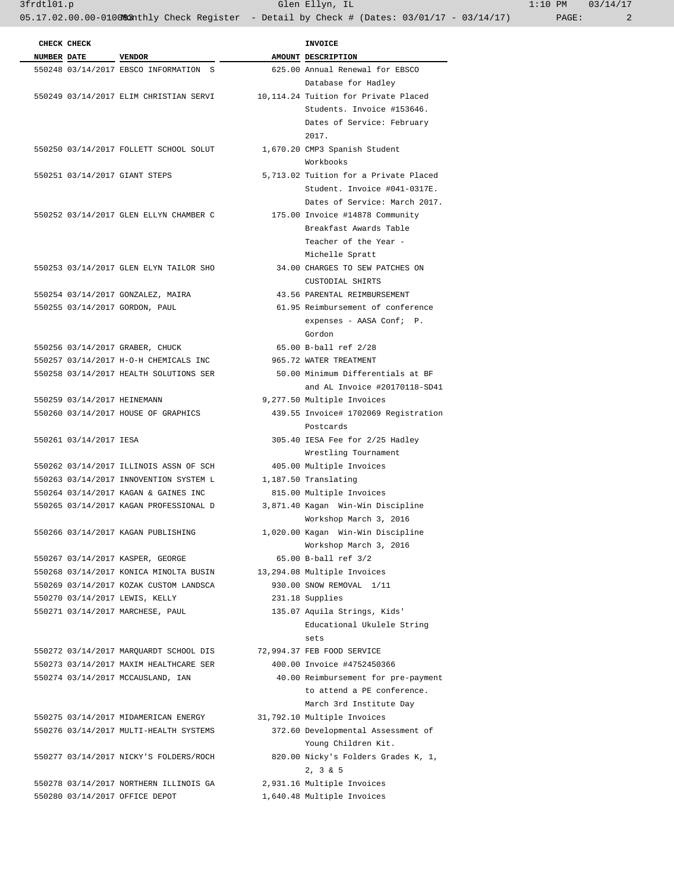|                    | CHECK CHECK                 |                                        | <b>INVOICE</b>                                                              |
|--------------------|-----------------------------|----------------------------------------|-----------------------------------------------------------------------------|
| <b>NUMBER DATE</b> |                             | <b>VENDOR</b>                          | AMOUNT DESCRIPTION                                                          |
|                    |                             | 550248 03/14/2017 EBSCO INFORMATION S  | 625.00 Annual Renewal for EBSCO                                             |
|                    |                             |                                        | Database for Hadley                                                         |
|                    |                             |                                        | 550249 03/14/2017 ELIM CHRISTIAN SERVI 10,114.24 Tuition for Private Placed |
|                    |                             |                                        | Students. Invoice #153646.                                                  |
|                    |                             |                                        | Dates of Service: February                                                  |
|                    |                             |                                        | 2017.                                                                       |
|                    |                             | 550250 03/14/2017 FOLLETT SCHOOL SOLUT | 1,670.20 CMP3 Spanish Student                                               |
|                    |                             |                                        | Workbooks                                                                   |
|                    |                             | 550251 03/14/2017 GIANT STEPS          | 5,713.02 Tuition for a Private Placed                                       |
|                    |                             |                                        | Student. Invoice #041-0317E.                                                |
|                    |                             |                                        | Dates of Service: March 2017.                                               |
|                    |                             | 550252 03/14/2017 GLEN ELLYN CHAMBER C | 175.00 Invoice #14878 Community                                             |
|                    |                             |                                        | Breakfast Awards Table                                                      |
|                    |                             |                                        | Teacher of the Year -                                                       |
|                    |                             |                                        | Michelle Spratt                                                             |
|                    |                             | 550253 03/14/2017 GLEN ELYN TAILOR SHO | 34.00 CHARGES TO SEW PATCHES ON                                             |
|                    |                             |                                        | CUSTODIAL SHIRTS                                                            |
|                    |                             | 550254 03/14/2017 GONZALEZ, MAIRA      | 43.56 PARENTAL REIMBURSEMENT                                                |
|                    |                             | 550255 03/14/2017 GORDON, PAUL         | 61.95 Reimbursement of conference                                           |
|                    |                             |                                        | expenses - AASA Conf; P.                                                    |
|                    |                             |                                        | Gordon                                                                      |
|                    |                             | 550256 03/14/2017 GRABER, CHUCK        | 65.00 B-ball ref 2/28                                                       |
|                    |                             | 550257 03/14/2017 H-O-H CHEMICALS INC  | 965.72 WATER TREATMENT                                                      |
|                    |                             | 550258 03/14/2017 HEALTH SOLUTIONS SER | 50.00 Minimum Differentials at BF                                           |
|                    |                             |                                        | and AL Invoice #20170118-SD41                                               |
|                    | 550259 03/14/2017 HEINEMANN |                                        | 9,277.50 Multiple Invoices                                                  |
|                    |                             | 550260 03/14/2017 HOUSE OF GRAPHICS    | 439.55 Invoice# 1702069 Registration                                        |
|                    |                             |                                        | Postcards                                                                   |
|                    | 550261 03/14/2017 IESA      |                                        | 305.40 IESA Fee for 2/25 Hadley                                             |
|                    |                             |                                        | Wrestling Tournament                                                        |
|                    |                             | 550262 03/14/2017 ILLINOIS ASSN OF SCH | 405.00 Multiple Invoices                                                    |
|                    |                             | 550263 03/14/2017 INNOVENTION SYSTEM L | 1,187.50 Translating                                                        |
|                    |                             | 550264 03/14/2017 KAGAN & GAINES INC   | 815.00 Multiple Invoices                                                    |
|                    |                             | 550265 03/14/2017 KAGAN PROFESSIONAL D | 3,871.40 Kagan Win-Win Discipline                                           |
|                    |                             |                                        | Workshop March 3, 2016                                                      |
|                    |                             | 550266 03/14/2017 KAGAN PUBLISHING     | 1,020.00 Kagan Win-Win Discipline                                           |
|                    |                             |                                        | Workshop March 3, 2016                                                      |
|                    |                             | 550267 03/14/2017 KASPER, GEORGE       | 65.00 B-ball ref 3/2                                                        |
|                    |                             | 550268 03/14/2017 KONICA MINOLTA BUSIN | 13,294.08 Multiple Invoices                                                 |
|                    |                             | 550269 03/14/2017 KOZAK CUSTOM LANDSCA | 930.00 SNOW REMOVAL 1/11                                                    |
|                    |                             | 550270 03/14/2017 LEWIS, KELLY         | 231.18 Supplies                                                             |
|                    |                             | 550271 03/14/2017 MARCHESE, PAUL       | 135.07 Aquila Strings, Kids'                                                |
|                    |                             |                                        | Educational Ukulele String                                                  |
|                    |                             |                                        | sets                                                                        |
|                    |                             | 550272 03/14/2017 MARQUARDT SCHOOL DIS | 72,994.37 FEB FOOD SERVICE                                                  |
|                    |                             | 550273 03/14/2017 MAXIM HEALTHCARE SER | 400.00 Invoice #4752450366                                                  |
|                    |                             | 550274 03/14/2017 MCCAUSLAND, IAN      | 40.00 Reimbursement for pre-payment                                         |
|                    |                             |                                        | to attend a PE conference.                                                  |
|                    |                             |                                        | March 3rd Institute Day                                                     |
|                    |                             | 550275 03/14/2017 MIDAMERICAN ENERGY   | 31,792.10 Multiple Invoices                                                 |
|                    |                             | 550276 03/14/2017 MULTI-HEALTH SYSTEMS | 372.60 Developmental Assessment of                                          |
|                    |                             |                                        | Young Children Kit.                                                         |
|                    |                             | 550277 03/14/2017 NICKY'S FOLDERS/ROCH | 820.00 Nicky's Folders Grades K, 1,                                         |
|                    |                             |                                        | $2, 3 \& 5$                                                                 |
|                    |                             | 550278 03/14/2017 NORTHERN ILLINOIS GA | 2,931.16 Multiple Invoices                                                  |
|                    |                             | 550280 03/14/2017 OFFICE DEPOT         | 1,640.48 Multiple Invoices                                                  |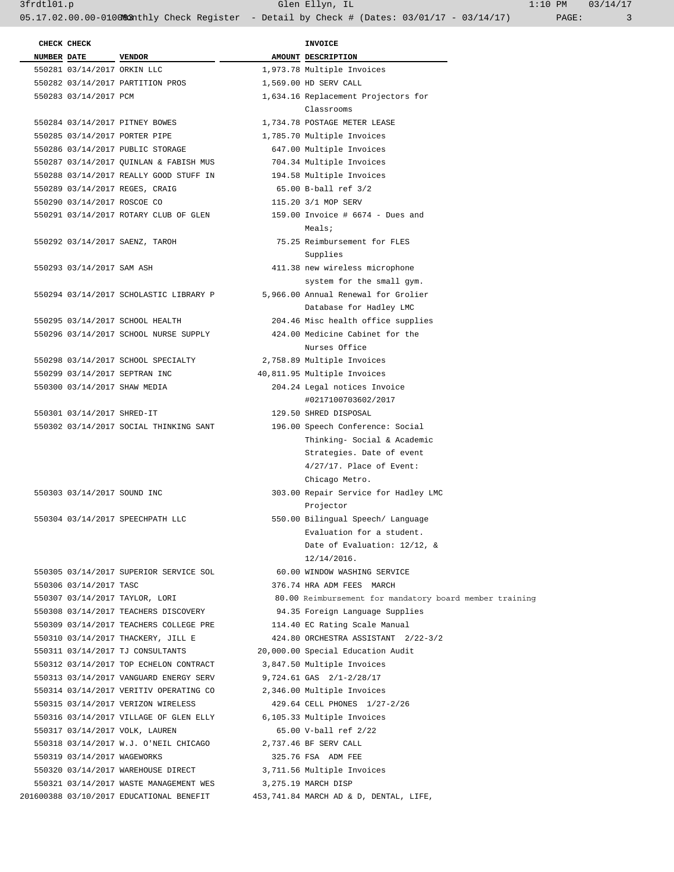3frdtl01.p Glen Ellyn, IL 1:10 PM 03/14/17

05.17.02.00.00-010083 Athly Check Register - Detail by Check # (Dates: 03/01/17 - 03/14/17) PAGE: 3

| CHECK CHECK        |                             |                                                                              |                       | <b>INVOICE</b>                                                       |
|--------------------|-----------------------------|------------------------------------------------------------------------------|-----------------------|----------------------------------------------------------------------|
| <b>NUMBER DATE</b> |                             | <b>VENDOR</b>                                                                |                       | AMOUNT DESCRIPTION                                                   |
|                    | 550281 03/14/2017 ORKIN LLC |                                                                              |                       | 1,973.78 Multiple Invoices                                           |
|                    |                             | 550282 03/14/2017 PARTITION PROS                                             |                       | 1,569.00 HD SERV CALL                                                |
|                    | 550283 03/14/2017 PCM       |                                                                              |                       | 1,634.16 Replacement Projectors for                                  |
|                    |                             |                                                                              |                       | Classrooms                                                           |
|                    |                             | 550284 03/14/2017 PITNEY BOWES                                               |                       | 1,734.78 POSTAGE METER LEASE                                         |
|                    |                             | 550285 03/14/2017 PORTER PIPE                                                |                       | 1,785.70 Multiple Invoices                                           |
|                    |                             | 550286 03/14/2017 PUBLIC STORAGE                                             |                       | 647.00 Multiple Invoices                                             |
|                    |                             | 550287 03/14/2017 QUINLAN & FABISH MUS                                       |                       | 704.34 Multiple Invoices                                             |
|                    |                             | 550288 03/14/2017 REALLY GOOD STUFF IN                                       |                       | 194.58 Multiple Invoices                                             |
|                    |                             | 550289 03/14/2017 REGES, CRAIG                                               |                       | 65.00 B-ball ref 3/2                                                 |
|                    | 550290 03/14/2017 ROSCOE CO |                                                                              |                       | 115.20 3/1 MOP SERV                                                  |
|                    |                             | 550291 03/14/2017 ROTARY CLUB OF GLEN                                        |                       | 159.00 Invoice # 6674 - Dues and<br>Meals;                           |
|                    |                             | 550292 03/14/2017 SAENZ, TAROH                                               |                       | 75.25 Reimbursement for FLES                                         |
|                    |                             |                                                                              |                       | Supplies                                                             |
|                    | 550293 03/14/2017 SAM ASH   |                                                                              |                       | 411.38 new wireless microphone                                       |
|                    |                             |                                                                              |                       | system for the small gym.                                            |
|                    |                             | 550294 03/14/2017 SCHOLASTIC LIBRARY P                                       |                       | 5,966.00 Annual Renewal for Grolier                                  |
|                    |                             |                                                                              |                       | Database for Hadley LMC                                              |
|                    |                             | 550295 03/14/2017 SCHOOL HEALTH                                              |                       | 204.46 Misc health office supplies                                   |
|                    |                             | 550296 03/14/2017 SCHOOL NURSE SUPPLY                                        |                       | 424.00 Medicine Cabinet for the                                      |
|                    |                             |                                                                              |                       | Nurses Office                                                        |
|                    |                             | 550298 03/14/2017 SCHOOL SPECIALTY<br>550299 03/14/2017 SEPTRAN INC          |                       | 2,758.89 Multiple Invoices                                           |
|                    |                             | 550300 03/14/2017 SHAW MEDIA                                                 |                       | 40,811.95 Multiple Invoices<br>204.24 Legal notices Invoice          |
|                    |                             |                                                                              |                       | #0217100703602/2017                                                  |
|                    | 550301 03/14/2017 SHRED-IT  |                                                                              |                       | 129.50 SHRED DISPOSAL                                                |
|                    |                             | 550302 03/14/2017 SOCIAL THINKING SANT                                       |                       | 196.00 Speech Conference: Social                                     |
|                    |                             |                                                                              |                       | Thinking- Social & Academic                                          |
|                    |                             |                                                                              |                       | Strategies. Date of event                                            |
|                    |                             |                                                                              |                       | $4/27/17$ . Place of Event:                                          |
|                    |                             |                                                                              |                       | Chicago Metro.                                                       |
|                    | 550303 03/14/2017 SOUND INC |                                                                              |                       | 303.00 Repair Service for Hadley LMC                                 |
|                    |                             |                                                                              |                       | Projector                                                            |
|                    |                             | 550304 03/14/2017 SPEECHPATH LLC                                             |                       | 550.00 Bilingual Speech/ Language                                    |
|                    |                             |                                                                              |                       | Evaluation for a student.                                            |
|                    |                             |                                                                              |                       | Date of Evaluation: 12/12, &                                         |
|                    |                             |                                                                              |                       | $12/14/2016$ .                                                       |
|                    |                             | 550305 03/14/2017 SUPERIOR SERVICE SOL                                       |                       | 60.00 WINDOW WASHING SERVICE                                         |
|                    | 550306 03/14/2017 TASC      |                                                                              |                       | 376.74 HRA ADM FEES MARCH                                            |
|                    |                             | 550307 03/14/2017 TAYLOR, LORI                                               |                       | 80.00 Reimbursement for mandatory board member training              |
|                    |                             | 550308 03/14/2017 TEACHERS DISCOVERY                                         |                       | 94.35 Foreign Language Supplies                                      |
|                    |                             | 550309 03/14/2017 TEACHERS COLLEGE PRE<br>550310 03/14/2017 THACKERY, JILL E |                       | 114.40 EC Rating Scale Manual<br>424.80 ORCHESTRA ASSISTANT 2/22-3/2 |
|                    |                             | 550311 03/14/2017 TJ CONSULTANTS                                             |                       | 20,000.00 Special Education Audit                                    |
|                    |                             | 550312 03/14/2017 TOP ECHELON CONTRACT                                       |                       | 3,847.50 Multiple Invoices                                           |
|                    |                             | 550313 03/14/2017 VANGUARD ENERGY SERV                                       |                       | 9,724.61 GAS 2/1-2/28/17                                             |
|                    |                             | 550314 03/14/2017 VERITIV OPERATING CO                                       |                       | 2,346.00 Multiple Invoices                                           |
|                    |                             | 550315 03/14/2017 VERIZON WIRELESS                                           |                       | 429.64 CELL PHONES 1/27-2/26                                         |
|                    |                             | 550316 03/14/2017 VILLAGE OF GLEN ELLY                                       |                       | 6,105.33 Multiple Invoices                                           |
|                    |                             | 550317 03/14/2017 VOLK, LAUREN                                               |                       | 65.00 V-ball ref 2/22                                                |
|                    |                             | 550318 03/14/2017 W.J. O'NEIL CHICAGO                                        | 2,737.46 BF SERV CALL |                                                                      |
|                    | 550319 03/14/2017 WAGEWORKS |                                                                              |                       | 325.76 FSA ADM FEE                                                   |
|                    |                             | 550320 03/14/2017 WAREHOUSE DIRECT                                           |                       | 3,711.56 Multiple Invoices                                           |
|                    |                             | 550321 03/14/2017 WASTE MANAGEMENT WES                                       |                       | 3,275.19 MARCH DISP                                                  |
|                    |                             | 201600388 03/10/2017 EDUCATIONAL BENEFIT                                     |                       | 453,741.84 MARCH AD & D, DENTAL, LIFE,                               |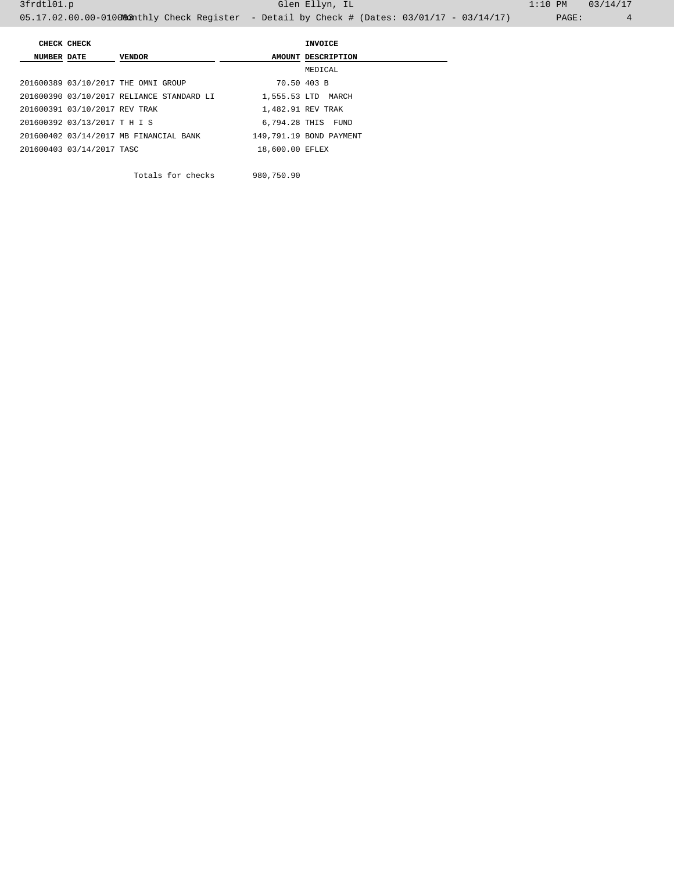|                    | CHECK CHECK                   |                                           |                 | INVOICE                 |
|--------------------|-------------------------------|-------------------------------------------|-----------------|-------------------------|
| <b>NUMBER DATE</b> |                               | <b>VENDOR</b>                             |                 | AMOUNT DESCRIPTION      |
|                    |                               |                                           |                 | MEDICAL                 |
|                    |                               | 201600389 03/10/2017 THE OMNI GROUP       | 70.50 403 B     |                         |
|                    |                               | 201600390 03/10/2017 RELIANCE STANDARD LI |                 | 1,555.53 LTD MARCH      |
|                    | 201600391 03/10/2017 REV TRAK |                                           |                 | 1,482.91 REV TRAK       |
|                    | 201600392 03/13/2017 T H I S  |                                           |                 | 6,794.28 THIS FUND      |
|                    |                               | 201600402 03/14/2017 MB FINANCIAL BANK    |                 | 149,791.19 BOND PAYMENT |
|                    | 201600403 03/14/2017 TASC     |                                           | 18,600.00 EFLEX |                         |
|                    |                               |                                           |                 |                         |

Totals for checks 980,750.90